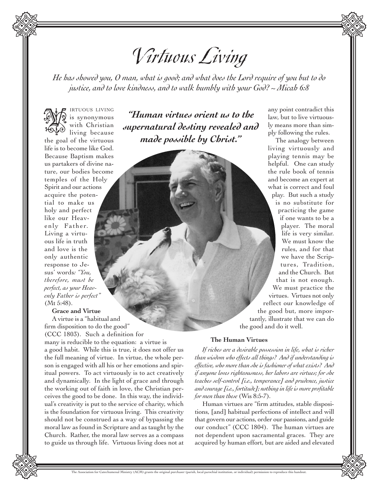V irtuous Living

*He has showed you, O man, what is good; and what does the Lord require of you but to do justice, and to love kindness, and to walk humbly with your God? ~ Micah 6:8*



IRTUOUS LIVING is synonymous with Christian living because

the goal of the virtuous life is to become like God. Because Baptism makes us partakers of divine nature, our bodies become temples of the Holy Spirit and our actions acquire the potential to make us holy and perfect like our Heavenly Father. Living a virtuous life in truth and love is the only authentic response to Jesus' words*: "You, therefore, must be perfect, as your Heavenly Father is perfect"* (Mt 5:48).

# **Grace and Virtue**

A virtue is a "habitual and firm disposition to do the good" (CCC 1803). Such a definition for many is reducible to the equation: a virtue is a good habit. While this is true, it does not offer us the full meaning of virtue. In virtue, the whole person is engaged with all his or her emotions and spiritual powers. To act virtuously is to act creatively and dynamically. In the light of grace and through the working out of faith in love, the Christian perceives the good to be done. In this way, the individual's creativity is put to the service of charity, which is the foundation for virtuous living. This creativity should not be construed as a way of bypassing the moral law as found in Scripture and as taught by the Church. Rather, the moral law serves as a compass to guide us through life. Virtuous living does not at

**AV** is synonymous "Human virtues orient us to the<br>
interesting the Christian supernatural destiny revealed and *made possible by Christ."*

any point contradict this law, but to live virtuously means more than simply following the rules.

The analogy between living virtuously and playing tennis may be helpful. One can study the rule book of tennis and become an expert at what is correct and foul play. But such a study is no substitute for practicing the game if one wants to be a player. The moral life is very similar. We must know the rules, and for that we have the Scriptures, Tradition, and the Church. But that is not enough. We must practice the virtues. Virtues not only reflect our knowledge of the good but, more importantly, illustrate that we can do the good and do it well.

### **The Human Virtues**

*If riches are a desirable possession in life, what is richer than wisdom who effects all things? And if understanding is effective, who more than she is fashioner of what exists? And if anyone loves righteousness, her labors are virtues; for she teaches self-control [i.e., temperance] and prudence, justice and courage [i.e., fortitude]; nothing in life is more profitable for men than these* (Wis 8:5-7).

Human virtues are "firm attitudes, stable dispositions, [and] habitual perfections of intellect and will that govern our actions, order our passions, and guide our conduct" (CCC 1804). The human virtues are not dependent upon sacramental graces. They are acquired by human effort, but are aided and elevated

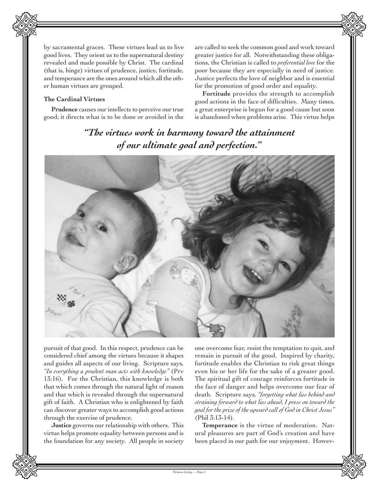

## **The Cardinal Virtues**

**Prudence** causes our intellects to perceive our true good; it directs what is to be done or avoided in the

are called to seek the common good and work toward greater justice for all. Notwithstanding these obligations, the Christian is called to *preferential love* for the poor because they are especially in need of justice. Justice perfects the love of neighbor and is essential for the promotion of good order and equality.

**Fortitude** provides the strength to accomplish good actions in the face of difficulties. Many times, a great enterprise is begun for a good cause but soon is abandoned when problems arise. This virtue helps

# *"The virtues work in harmony toward the attainment of our ultimate goal and perfection."*



pursuit of that good. In this respect, prudence can be considered chief among the virtues because it shapes and guides all aspects of our living. Scripture says*, "In everything a prudent man acts with knowledge"* (Prv 13:16). For the Christian, this knowledge is both that which comes through the natural light of reason and that which is revealed through the supernatural gift of faith. A Christian who is enlightened by faith can discover greater ways to accomplish good actions through the exercise of prudence.

**Justice** governs our relationship with others. This virtue helps promote equality between persons and is the foundation for any society. All people in society one overcome fear, resist the temptation to quit, and remain in pursuit of the good. Inspired by charity, fortitude enables the Christian to risk great things even his or her life for the sake of a greater good. The spiritual gift of courage reinforces fortitude in the face of danger and helps overcome our fear of death. Scripture says*, "forgetting what lies behind and straining forward to what lies ahead, I press on toward the goal for the prize of the upward call of God in Christ Jesus"* (Phil 3:13-14).

**Temperance** is the virtue of moderation. Natural pleasures are part of God's creation and have been placed in our path for our enjoyment. Howev-